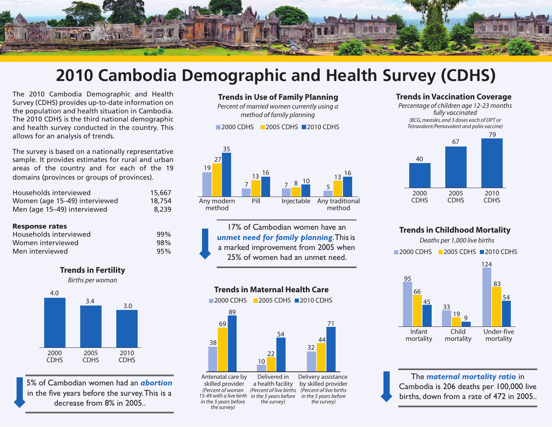

## **2010 Cambodia Demographic and Health Survey (CDHS)**

The 2010 Cambodia Demographic and Health Survey (CDHS) provides up-to-date information on the population and health situation in Cambodia. The 2010 CDHS is the third national demographic and health survey conducted in the country. This allows for an analysis of trends.

The survey is based on a nationally representative sample. It provides estimates for rural and urban areas of the country and for each of the 19 domains (provinces or groups of provinces).

| Households interviewed        | 15,667 |
|-------------------------------|--------|
| Women (age 15-49) interviewed | 18,754 |
| Men (age 15–49) interviewed   | 8,239  |

#### Response rates

| Households interviewed | 99% |
|------------------------|-----|
| Women interviewed      | 98% |
| Men interviewed        | 95% |







5% of Cambodian women had an *abortion*  in the five years before the survey. This is a decrease from 8% in 2005..

#### **Trends in Use of Family Planning**

*Percent of married women currently using a method of family planning*

2000 CDHS 2005 CDHS 2010 CDHS



17% of Cambodian women have an *unmet need for family planning*. This is a marked improvement from 2005 when 25% of women had an unmet need.

#### **Trends in Maternal Health Care**

2000 CDHS 2005 CDHS 2010 CDHS



skilled provider a health facility *(Percent of live births in the 5 years before 15-49 with a live birth the survey) (Percent of women in the 5 years before the survey)*

Delivery assistance by skilled provider *(Percent of live births in the 5 years before the survey)*

#### **Trends in Vaccination Coverage**

*Percentage of children age 12-23 months fully vaccinated (BCG, measles, and 3 doses each of DPT or Tetravalent/Pentavalent and polio vaccine)*



#### **Trends in Childhood Mortality**

*Deaths per 1,000 live births* Infant mortality Child mortality Under-five mortality 95 **2000 CDHS** 2005 CDHS 2010 CDHS 45 66 33 <sup>9</sup> <sup>19</sup> 124 54 83

The *maternal mortality ratio* in Cambodia is 206 deaths per 100,000 live births, down from a rate of 472 in 2005..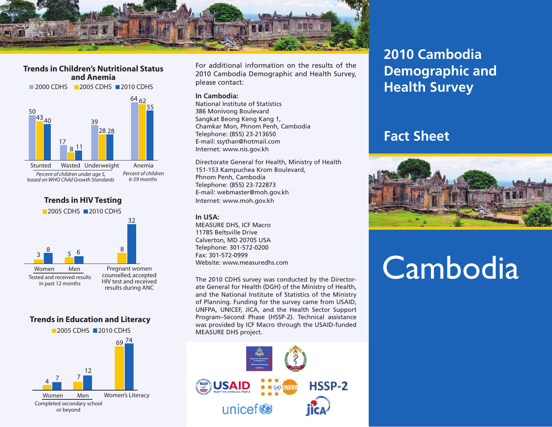

**Trends in Children's Nutritional Status and Anemia**





results during ANC

#### **Trends in Education and Literacy**



For additional information on the results of the 2010 Cambodia Demographic and Health Survey, please contact:

#### **In Cambodia:**

National Institute of Statistics 386 Monivong Boulevard Sangkat Beong Keng Kang 1, Chamkar Mon, Phnom Penh, Cambodia Telephone: (855) 23-213650 E-mail: ssythan@hotmail.com Internet: www.nis.gov.kh

Directorate General for Health, Ministry of Health 151-153 Kampuchea Krom Boulevard, Phnom Penh, Cambodia Telephone: (855) 23-722873 E-mail: webmaster@moh.gov.kh Internet: www.moh.gov.kh

#### **In USA:**

MEASURE DHS, ICF Macro 11785 Beltsville Drive Calverton, MD 20705 USA Telephone: 301-572-0200 Fax: 301-572-0999 Website: www.measuredhs.com

The 2010 CDHS survey was conducted by the Directorate General for Health (DGH) of the Ministry of Health, and the National Institute of Statistics of the Ministry of Planning. Funding for the survey came from USAID, UNFPA, UNICEF, JICA, and the Health Sector Support Program–Second Phase (HSSP-2). Technical assistance was provided by ICF Macro through the USAID-funded MEASURE DHS project.



## **2010 Cambodia Demographic and Health Survey**

### **Fact Sheet**



# **Cambodia**